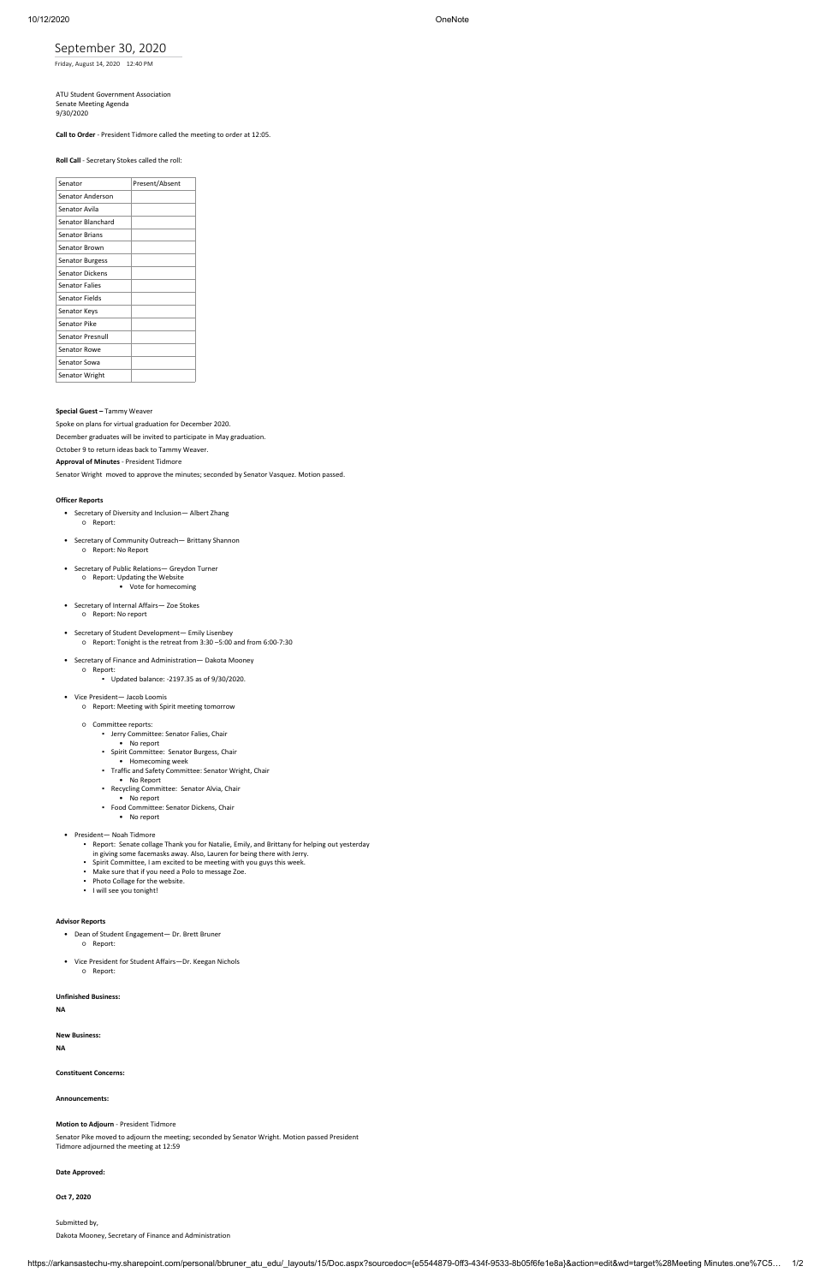https://arkansastechu-my.sharepoint.com/personal/bbruner\_atu\_edu/\_layouts/15/Doc.aspx?sourcedoc={e5544879-0ff3-434f-9533-8b05f6fe1e8a}&action=edit&wd=target%28Meeting Minutes.one%7C5… 1/2

# September 30, 2020

Friday, August 14, 2020 12:40 PM

ATU Student Government Association Senate Meeting Agenda 9/30/2020

## **Call to Order** - President Tidmore called the meeting to order at 12:05.

#### **Roll Call** - Secretary Stokes called the roll:

| Senator                 | Present/Absent |
|-------------------------|----------------|
| Senator Anderson        |                |
| Senator Avila           |                |
| Senator Blanchard       |                |
| <b>Senator Brians</b>   |                |
| Senator Brown           |                |
| <b>Senator Burgess</b>  |                |
| <b>Senator Dickens</b>  |                |
| <b>Senator Falies</b>   |                |
| <b>Senator Fields</b>   |                |
| Senator Keys            |                |
| <b>Senator Pike</b>     |                |
| <b>Senator Presnull</b> |                |
| Senator Rowe            |                |
| Senator Sowa            |                |
| Senator Wright          |                |

### **Special Guest –** Tammy Weaver

Spoke on plans for virtual graduation for December 2020. December graduates will be invited to participate in May graduation. October 9 to return ideas back to Tammy Weaver.

## **Approval of Minutes** - President Tidmore

Senator Wright moved to approve the minutes; seconded by Senator Vasquez. Motion passed.

### **Officer Reports**

- Secretary of Diversity and Inclusion— Albert Zhang ○ Report:
- Secretary of Community Outreach— Brittany Shannon ○ Report: No Report
- Secretary of Public Relations— Greydon Turner ○ Report: Updating the Website • Vote for homecoming
- Secretary of Internal Affairs— Zoe Stokes ○ Report: No report
- Secretary of Student Development— Emily Lisenbey ○ Report: Tonight is the retreat from 3:30 –5:00 and from 6:00-7:30
- Secretary of Finance and Administration— Dakota Mooney ○ Report:
	- Updated balance: -2197.35 as of 9/30/2020.
- Vice President— Jacob Loomis
	- Report: Meeting with Spirit meeting tomorrow
	- Committee reports:
		- Jerry Committee: Senator Falies, Chair
		- No report
		- Spirit Committee: Senator Burgess, Chair
		- Homecoming week
		- Traffic and Safety Committee: Senator Wright, Chair
		- No Report
		- Recycling Committee: Senator Alvia, Chair No report
		- Food Committee: Senator Dickens, Chair
		- No report
- President— Noah Tidmore
	- Report: Senate collage Thank you for Natalie, Emily, and Brittany for helping out yesterday
	- in giving some facemasks away. Also, Lauren for being there with Jerry.
	- Spirit Committee, I am excited to be meeting with you guys this week. ▪ Make sure that if you need a Polo to message Zoe.
	- Photo Collage for the website.
	- I will see you tonight!

• Dean of Student Engagement— Dr. Brett Bruner

○ Report:

• Vice President for Student Affairs—Dr. Keegan Nichols

○ Report:

**Unfinished Business:**

**NA**

**New Business:**

**NA**

**Constituent Concerns:**

**Announcements:**

**Motion to Adjourn** - President Tidmore

Senator Pike moved to adjourn the meeting; seconded by Senator Wright. Motion passed President Tidmore adjourned the meeting at 12:59

**Date Approved:**

**Oct 7, 2020**

Submitted by,

Dakota Mooney, Secretary of Finance and Administration